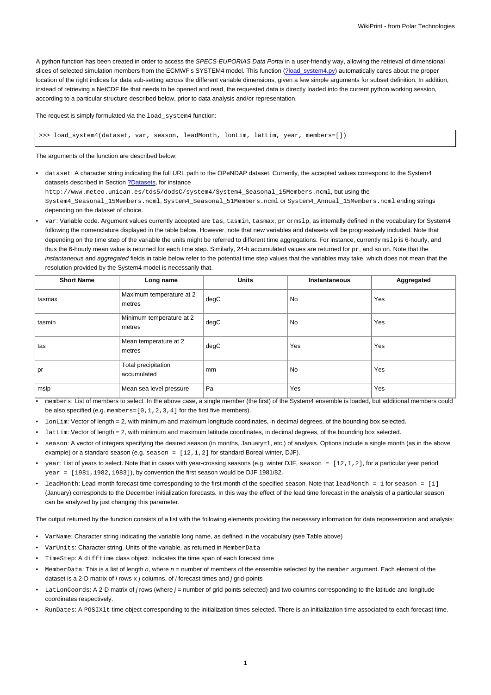A python function has been created in order to access the SPECS-EUPORIAS Data Portal in a user-friendly way, allowing the retrieval of dimensional slices of selected simulation members from the ECMWF's SYSTEM4 model. This function (?load\_system4.py) automatically cares about the proper location of the right indices for data sub-setting across the different variable dimensions, given a few simple arguments for subset definition. In addition, instead of retrieving a NetCDF file that needs to be opened and read, the requested data is directly loaded into the current python working session, according to a particular structure described below, prior to data analysis and/or representation.

The request is simply formulated via the load\_system4 function:

>>> load\_system4(dataset, var, season, leadMonth, lonLim, latLim, year, members=[])

The arguments of the function are described below:

• dataset: A character string indicating the full URL path to the OPeNDAP dataset. Currently, the accepted values correspond to the System4 datasets described in Section [?Datasets,](https://www.meteo.unican.es/trac/meteo/wiki/SpecsEuporias/DataServer/Datasets) for instance http://www.meteo.unican.es/tds5/dodsC/system4/System4\_Seasonal\_15Members.ncml, but using the

System4\_Seasonal\_15Members.ncml, System4\_Seasonal\_51Members.ncml or System4\_Annual\_15Members.ncml ending strings depending on the dataset of choice.

• var: Variable code. Argument values currently accepted are tas, tasmin, tasmax, pr or mslp, as internally defined in the vocabulary for System4 following the nomenclature displayed in the table below. However, note that new variables and datasets will be progressively included. Note that depending on the time step of the variable the units might be referred to different time aggregations. For instance, currently mslp is 6-hourly, and thus the 6-hourly mean value is returned for each time step. Similarly, 24-h accumulated values are returned for  $pr$ , and so on. Note that the instantaneous and aggregated fields in table below refer to the potential time step values that the variables may take, which does not mean that the resolution provided by the System4 model is necessarily that.

| <b>Short Name</b> | Long name                          | <b>Units</b> | Instantaneous | Aggregated |
|-------------------|------------------------------------|--------------|---------------|------------|
| tasmax            | Maximum temperature at 2<br>metres | degC         | No            | Yes        |
| tasmin            | Minimum temperature at 2<br>metres | degC         | No            | Yes        |
| tas               | Mean temperature at 2<br>metres    | degC         | Yes           | Yes        |
| pr                | Total precipitation<br>accumulated | mm           | No            | Yes        |
| mslp              | Mean sea level pressure            | Pa           | Yes           | Yes        |

- $\bullet$  members: List of members to select. In the above case, a single member (the first) of the System4 ensemble is loaded, but additional members could be also specified (e.g. members=[0,1,2,3,4] for the first five members).
- lonLim: Vector of length = 2, with minimum and maximum longitude coordinates, in decimal degrees, of the bounding box selected.
- latLim: Vector of length = 2, with minimum and maximum latitude coordinates, in decimal degrees, of the bounding box selected.
- season: A vector of integers specifying the desired season (in months, January=1, etc.) of analysis. Options include a single month (as in the above example) or a standard season (e.g. season = [12,1,2] for standard Boreal winter, DJF).
- year: List of years to select. Note that in cases with year-crossing seasons (e.g. winter DJF, season =  $[12,1,2]$ , for a particular year period year = [1981,1982,1983]), by convention the first season would be DJF 1981/82.
- leadMonth: Lead month forecast time corresponding to the first month of the specified season. Note that leadMonth = 1 for season = [1] (January) corresponds to the December initialization forecasts. In this way the effect of the lead time forecast in the analysis of a particular season can be analyzed by just changing this parameter.

The output returned by the function consists of a list with the following elements providing the necessary information for data representation and analysis:

- VarName: Character string indicating the variable long name, as defined in the vocabulary (see Table above)
- VarUnits: Character string. Units of the variable, as returned in MemberData
- TimeStep: A difftime class object. Indicates the time span of each forecast time
- MemberData: This is a list of length n, where  $n =$  number of members of the ensemble selected by the member argument. Each element of the dataset is a 2-D matrix of  $i$  rows  $x$   $j$  columns, of  $i$  forecast times and  $j$  grid-points
- LatLonCoords: A 2-D matrix of j rows (where j = number of grid points selected) and two columns corresponding to the latitude and longitude coordinates respectively.
- RunDates: A POSIXlt time object corresponding to the initialization times selected. There is an initialization time associated to each forecast time.